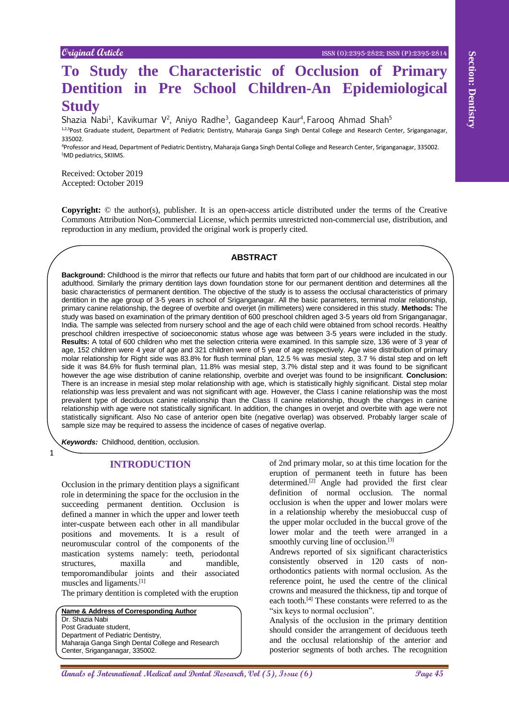# **To Study the Characteristic of Occlusion of Primary Dentition in Pre School Children-An Epidemiological Study**

Shazia Nabi<sup>1</sup>, Kavikumar V<sup>2</sup>, Aniyo Radhe<sup>3</sup>, Gagandeep Kaur<sup>4</sup>, Farooq Ahmad Shah<sup>5</sup> 1,2,3Post Graduate student, Department of Pediatric Dentistry, Maharaja Ganga Singh Dental College and Research Center, Sriganganagar, 335002.

<sup>4</sup>Professor and Head, Department of Pediatric Dentistry, Maharaja Ganga Singh Dental College and Research Center, Sriganganagar, 335002. <sup>5</sup>MD pediatrics, SKIIMS.

Received: October 2019 Accepted: October 2019

**Copyright:** © the author(s), publisher. It is an open-access article distributed under the terms of the Creative Commons Attribution Non-Commercial License, which permits unrestricted non-commercial use, distribution, and reproduction in any medium, provided the original work is properly cited.

# **ABSTRACT**

**APAREL Strait Control and Control and Control and Control and Control and Control and Control and Control and Control and Control and Control and Control and Control and Control and Control and Control and Control and Con Background:** Childhood is the mirror that reflects our future and habits that form part of our childhood are inculcated in our adulthood. Similarly the primary dentition lays down foundation stone for our permanent dentition and determines all the basic characteristics of permanent dentition. The objective of the study is to assess the occlusal characteristics of primary dentition in the age group of 3-5 years in school of Sriganganagar. All the basic parameters, terminal molar relationship, primary canine relationship, the degree of overbite and overjet (in millimeters) were considered in this study. **Methods:** The study was based on examination of the primary dentition of 600 preschool children aged 3-5 years old from Sriganganagar, India. The sample was selected from nursery school and the age of each child were obtained from school records. Healthy preschool children irrespective of socioeconomic status whose age was between 3-5 years were included in the study. **Results:** A total of 600 children who met the selection criteria were examined. In this sample size, 136 were of 3 year of age, 152 children were 4 year of age and 321 children were of 5 year of age respectively. Age wise distribution of primary molar relationship for Right side was 83.8% for flush terminal plan, 12.5 % was mesial step, 3.7 % distal step and on left side it was 84.6% for flush terminal plan, 11.8% was mesial step, 3.7% distal step and it was found to be significant however the age wise distribution of canine relationship, overbite and overjet was found to be insignificant. **Conclusion:** There is an increase in mesial step molar relationship with age, which is statistically highly significant. Distal step molar relationship was less prevalent and was not significant with age. However, the Class I canine relationship was the most prevalent type of deciduous canine relationship than the Class II canine relationship, though the changes in canine relationship with age were not statistically significant. In addition, the changes in overjet and overbite with age were not statistically significant. Also No case of anterior open bite (negative overlap) was observed. Probably larger scale of sample size may be required to assess the incidence of cases of negative overlap.

*Keywords:* Childhood, dentition, occlusion.

1

# **INTRODUCTION**

Occlusion in the primary dentition plays a significant role in determining the space for the occlusion in the succeeding permanent dentition. Occlusion is defined a manner in which the upper and lower teeth inter-cuspate between each other in all mandibular positions and movements. It is a result of neuromuscular control of the components of the mastication systems namely: teeth, periodontal structures, maxilla and mandible, temporomandibular joints and their associated muscles and ligaments.[1]

The primary dentition is completed with the eruption

**Name & Address of Corresponding Author** Dr. Shazia Nabi Post Graduate student, Department of Pediatric Dentistry, Maharaja Ganga Singh Dental College and Research Center, Sriganganagar, 335002.

of 2nd primary molar, so at this time location for the eruption of permanent teeth in future has been determined.<sup>[2]</sup> Angle had provided the first clear definition of normal occlusion. The normal occlusion is when the upper and lower molars were in a relationship whereby the mesiobuccal cusp of the upper molar occluded in the buccal grove of the lower molar and the teeth were arranged in a smoothly curving line of occlusion.<sup>[3]</sup>

Andrews reported of six significant characteristics consistently observed in 120 casts of nonorthodontics patients with normal occlusion. As the reference point, he used the centre of the clinical crowns and measured the thickness, tip and torque of each tooth. [4] These constants were referred to as the "six keys to normal occlusion".

Analysis of the occlusion in the primary dentition should consider the arrangement of deciduous teeth and the occlusal relationship of the anterior and posterior segments of both arches. The recognition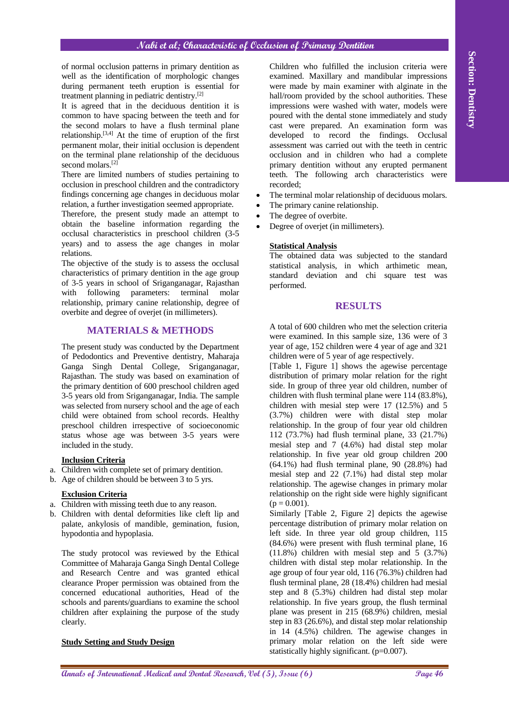of normal occlusion patterns in primary dentition as well as the identification of morphologic changes during permanent teeth eruption is essential for treatment planning in pediatric dentistry.[2]

It is agreed that in the deciduous dentition it is common to have spacing between the teeth and for the second molars to have a flush terminal plane relationship.[3,4] At the time of eruption of the first permanent molar, their initial occlusion is dependent on the terminal plane relationship of the deciduous second molars.<sup>[2]</sup>

There are limited numbers of studies pertaining to occlusion in preschool children and the contradictory findings concerning age changes in deciduous molar relation, a further investigation seemed appropriate.

Therefore, the present study made an attempt to obtain the baseline information regarding the occlusal characteristics in preschool children (3-5 years) and to assess the age changes in molar relations.

The objective of the study is to assess the occlusal characteristics of primary dentition in the age group of 3-5 years in school of Sriganganagar, Rajasthan with following parameters: terminal molar relationship, primary canine relationship, degree of overbite and degree of overjet (in millimeters).

# **MATERIALS & METHODS**

The present study was conducted by the Department of Pedodontics and Preventive dentistry, Maharaja Ganga Singh Dental College, Sriganganagar, Rajasthan. The study was based on examination of the primary dentition of 600 preschool children aged 3-5 years old from Sriganganagar, India. The sample was selected from nursery school and the age of each child were obtained from school records. Healthy preschool children irrespective of socioeconomic status whose age was between 3-5 years were included in the study.

## **Inclusion Criteria**

- a. Children with complete set of primary dentition.
- b. Age of children should be between 3 to 5 yrs.

# **Exclusion Criteria**

- a. Children with missing teeth due to any reason.
- b. Children with dental deformities like cleft lip and palate, ankylosis of mandible, gemination, fusion, hypodontia and hypoplasia.

The study protocol was reviewed by the Ethical Committee of Maharaja Ganga Singh Dental College and Research Centre and was granted ethical clearance Proper permission was obtained from the concerned educational authorities, Head of the schools and parents/guardians to examine the school children after explaining the purpose of the study clearly.

## **Study Setting and Study Design**

Children who fulfilled the inclusion criteria were examined. Maxillary and mandibular impressions were made by main examiner with alginate in the hall/room provided by the school authorities. These impressions were washed with water, models were poured with the dental stone immediately and study cast were prepared. An examination form was developed to record the findings. Occlusal assessment was carried out with the teeth in centric occlusion and in children who had a complete primary dentition without any erupted permanent teeth. The following arch characteristics were recorded;

- The terminal molar relationship of deciduous molars.
- The primary canine relationship.
- The degree of overbite.
- Degree of overjet (in millimeters).

## **Statistical Analysis**

The obtained data was subjected to the standard statistical analysis, in which arthimetic mean, standard deviation and chi square test was performed.

## **RESULTS**

A total of 600 children who met the selection criteria were examined. In this sample size, 136 were of 3 year of age, 152 children were 4 year of age and 321 children were of 5 year of age respectively.

of annals orbited painters is produced by the control of the section of the international Medical and the section of the section of the section of the section of the section of the section of the section of the section of [Table 1, Figure 1] shows the agewise percentage distribution of primary molar relation for the right side. In group of three year old children, number of children with flush terminal plane were 114 (83.8%), children with mesial step were 17 (12.5%) and 5 (3.7%) children were with distal step molar relationship. In the group of four year old children 112 (73.7%) had flush terminal plane, 33 (21.7%) mesial step and 7 (4.6%) had distal step molar relationship. In five year old group children 200 (64.1%) had flush terminal plane, 90 (28.8%) had mesial step and 22 (7.1%) had distal step molar relationship. The agewise changes in primary molar relationship on the right side were highly significant  $(p = 0.001)$ .

Similarly [Table 2, Figure 2] depicts the agewise percentage distribution of primary molar relation on left side. In three year old group children, 115 (84.6%) were present with flush terminal plane, 16 (11.8%) children with mesial step and 5 (3.7%) children with distal step molar relationship. In the age group of four year old, 116 (76.3%) children had flush terminal plane, 28 (18.4%) children had mesial step and 8 (5.3%) children had distal step molar relationship. In five years group, the flush terminal plane was present in 215 (68.9%) children, mesial step in 83 (26.6%), and distal step molar relationship in 14 (4.5%) children. The agewise changes in primary molar relation on the left side were statistically highly significant. (p=0.007).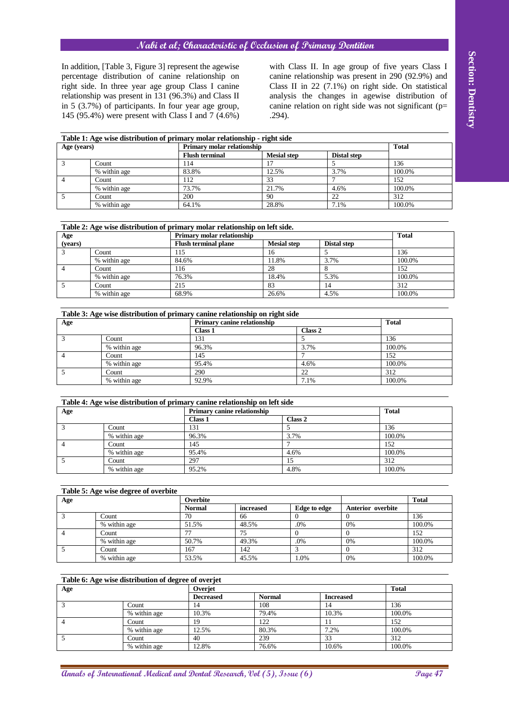| Table 1: Age wise distribution of primary molar relationship - right side |              |                            |                    |                    |        |  |  |
|---------------------------------------------------------------------------|--------------|----------------------------|--------------------|--------------------|--------|--|--|
| Age (years)                                                               |              | Primary molar relationship | <b>Total</b>       |                    |        |  |  |
|                                                                           |              | <b>Flush terminal</b>      | <b>Mesial step</b> | <b>Distal step</b> |        |  |  |
|                                                                           | Count        | 114                        |                    |                    | 136    |  |  |
|                                                                           | % within age | 83.8%                      | 12.5%              | 3.7%               | 100.0% |  |  |
|                                                                           | Count        | 112                        | 33                 |                    | 152    |  |  |
|                                                                           | % within age | 73.7%                      | 21.7%              | 4.6%               | 100.0% |  |  |
|                                                                           | Count        | 200                        | 90                 | 22                 | 312    |  |  |
|                                                                           | % within age | 64.1%                      | 28.8%              | 7.1%               | 100.0% |  |  |

|                         |       | percentage distribution of canine relationship on<br>right side. In three year age group Class I canine<br>relationship was present in 131 (96.3%) and Class II<br>in $5$ (3.7%) of participants. In four year age group,<br>145 (95.4%) were present with Class I and 7 (4.6%) |              |                                        |             | .294).             |                |                     |                    |                      |               | canine relationship was present in 290 (92.9%) and<br>Class II in $22$ (7.1%) on right side. On statistical<br>analysis the changes in agewise distribution of<br>canine relation on right side was not significant ( $p=$ |
|-------------------------|-------|---------------------------------------------------------------------------------------------------------------------------------------------------------------------------------------------------------------------------------------------------------------------------------|--------------|----------------------------------------|-------------|--------------------|----------------|---------------------|--------------------|----------------------|---------------|----------------------------------------------------------------------------------------------------------------------------------------------------------------------------------------------------------------------------|
| Age (years)             |       | Table 1: Age wise distribution of primary molar relationship - right side                                                                                                                                                                                                       |              | Primary molar relationship             |             |                    |                |                     |                    |                      |               | <b>Total</b>                                                                                                                                                                                                               |
|                         |       |                                                                                                                                                                                                                                                                                 |              | <b>Flush terminal</b>                  |             | <b>Mesial</b> step |                |                     |                    | <b>Distal step</b>   |               |                                                                                                                                                                                                                            |
|                         | Count |                                                                                                                                                                                                                                                                                 | 114          |                                        |             | 17                 |                |                     | 5                  |                      | 136           |                                                                                                                                                                                                                            |
|                         | Count | % within age                                                                                                                                                                                                                                                                    | 112          | 83.8%                                  |             | 12.5%<br>33        |                |                     | 3.7%<br>7          |                      | 152           | 100.0%                                                                                                                                                                                                                     |
|                         |       | % within age                                                                                                                                                                                                                                                                    |              | 73.7%                                  |             | 21.7%              |                |                     | 4.6%               |                      |               | 100.0%                                                                                                                                                                                                                     |
|                         | Count |                                                                                                                                                                                                                                                                                 | 200          |                                        |             | 90                 |                |                     | 22                 |                      | 312           |                                                                                                                                                                                                                            |
|                         |       | % within age                                                                                                                                                                                                                                                                    |              | 64.1%                                  |             | 28.8%              |                |                     | 7.1%               |                      |               | 100.0%                                                                                                                                                                                                                     |
|                         |       |                                                                                                                                                                                                                                                                                 |              |                                        |             |                    |                |                     |                    |                      |               |                                                                                                                                                                                                                            |
| Age                     |       | Table 2: Age wise distribution of primary molar relationship on left side.                                                                                                                                                                                                      |              | Primary molar relationship             |             |                    |                |                     |                    |                      |               | <b>Total</b>                                                                                                                                                                                                               |
| (years)                 |       |                                                                                                                                                                                                                                                                                 |              | <b>Flush terminal plane</b>            |             | <b>Mesial step</b> |                |                     | <b>Distal step</b> |                      |               |                                                                                                                                                                                                                            |
|                         | Count | % within age                                                                                                                                                                                                                                                                    | 115<br>84.6% |                                        |             | 16<br>11.8%        |                |                     | 5<br>3.7%          |                      |               | 136<br>100.0%                                                                                                                                                                                                              |
|                         | Count |                                                                                                                                                                                                                                                                                 | 116          |                                        |             | 28                 |                |                     | 8                  |                      |               | 152                                                                                                                                                                                                                        |
|                         |       | % within age                                                                                                                                                                                                                                                                    | 76.3%        |                                        |             | 18.4%              |                |                     | 5.3%               |                      |               | 100.0%                                                                                                                                                                                                                     |
|                         | Count |                                                                                                                                                                                                                                                                                 | 215          |                                        |             | 83                 |                |                     | 14                 |                      |               | 312                                                                                                                                                                                                                        |
|                         |       | % within age                                                                                                                                                                                                                                                                    | 68.9%        |                                        |             | 26.6%              |                |                     | 4.5%               |                      |               | 100.0%                                                                                                                                                                                                                     |
|                         |       | Table 3: Age wise distribution of primary canine relationship on right side                                                                                                                                                                                                     |              |                                        |             |                    |                |                     |                    |                      |               |                                                                                                                                                                                                                            |
| Age                     |       |                                                                                                                                                                                                                                                                                 |              | Primary canine relationship            |             |                    |                |                     |                    |                      | <b>Total</b>  |                                                                                                                                                                                                                            |
|                         |       | Count                                                                                                                                                                                                                                                                           |              | Class 1<br>131                         |             |                    |                | Class 2<br>5        |                    |                      | 136           |                                                                                                                                                                                                                            |
|                         |       | % within age                                                                                                                                                                                                                                                                    |              | 96.3%                                  |             |                    |                | 3.7%                |                    |                      | 100.0%        |                                                                                                                                                                                                                            |
| $\overline{4}$<br>Count |       |                                                                                                                                                                                                                                                                                 | 145          |                                        | 7<br>4.6%   |                    | 152            |                     |                    |                      |               |                                                                                                                                                                                                                            |
|                         |       | % within age<br>Count                                                                                                                                                                                                                                                           |              | 95.4%<br>290                           |             |                    | 22             |                     | 100.0%<br>312      |                      |               |                                                                                                                                                                                                                            |
|                         |       | % within age                                                                                                                                                                                                                                                                    |              | 92.9%                                  |             |                    |                | 7.1%                |                    |                      | 100.0%        |                                                                                                                                                                                                                            |
|                         |       |                                                                                                                                                                                                                                                                                 |              |                                        |             |                    |                |                     |                    |                      |               |                                                                                                                                                                                                                            |
|                         |       | Table 4: Age wise distribution of primary canine relationship on left side                                                                                                                                                                                                      |              |                                        |             |                    |                |                     |                    |                      |               |                                                                                                                                                                                                                            |
| Age                     |       |                                                                                                                                                                                                                                                                                 |              | Primary canine relationship<br>Class 1 |             |                    | Class 2        |                     |                    | <b>Total</b>         |               |                                                                                                                                                                                                                            |
|                         |       | Count                                                                                                                                                                                                                                                                           |              | 131                                    |             | 5                  |                |                     | 136                |                      |               |                                                                                                                                                                                                                            |
|                         |       | % within age                                                                                                                                                                                                                                                                    |              | 96.3%                                  |             |                    | 3.7%           |                     |                    |                      | 100.0%        |                                                                                                                                                                                                                            |
|                         |       | Count<br>% within age                                                                                                                                                                                                                                                           |              | 145<br>95.4%                           |             |                    |                |                     |                    |                      | 152<br>100.0% |                                                                                                                                                                                                                            |
|                         |       | Count                                                                                                                                                                                                                                                                           |              | 297                                    |             |                    | 4.6%<br>15     |                     |                    | $\overline{312}$     |               |                                                                                                                                                                                                                            |
|                         |       | % within age                                                                                                                                                                                                                                                                    |              | 95.2%                                  |             | 4.8%               |                |                     | 100.0%             |                      |               |                                                                                                                                                                                                                            |
|                         |       |                                                                                                                                                                                                                                                                                 |              |                                        |             |                    |                |                     |                    |                      |               |                                                                                                                                                                                                                            |
| Age                     |       | Table 5: Age wise degree of overbite                                                                                                                                                                                                                                            |              | Overbite                               |             |                    |                |                     |                    |                      |               | <b>Total</b>                                                                                                                                                                                                               |
|                         |       |                                                                                                                                                                                                                                                                                 |              | <b>Normal</b>                          | increased   |                    |                | <b>Edge</b> to edge |                    | Anterior overbite    |               |                                                                                                                                                                                                                            |
|                         | Count |                                                                                                                                                                                                                                                                                 | 70           |                                        | 66          |                    | $\Omega$       |                     |                    | $\Omega$             |               | 136                                                                                                                                                                                                                        |
|                         | Count | % within age                                                                                                                                                                                                                                                                    | 77           | 51.5%                                  | 48.5%<br>75 |                    | $\overline{0}$ | $.0\%$              |                    | 0%<br>$\overline{0}$ |               | 100.0%<br>152                                                                                                                                                                                                              |
|                         |       | % within age                                                                                                                                                                                                                                                                    |              | 50.7%                                  | 49.3%       |                    |                | $.0\%$              |                    | 0%                   |               | 100.0%                                                                                                                                                                                                                     |
|                         | Count |                                                                                                                                                                                                                                                                                 | 167          |                                        | 142         |                    |                | 3                   |                    | $\overline{0}$       |               | 312                                                                                                                                                                                                                        |
|                         |       | % within age                                                                                                                                                                                                                                                                    |              | 53.5%                                  | 45.5%       |                    |                | 1.0%                |                    | 0%                   |               | 100.0%                                                                                                                                                                                                                     |
| Age                     |       | Table 6: Age wise distribution of degree of overjet                                                                                                                                                                                                                             |              | Overjet                                |             |                    |                |                     |                    |                      | <b>Total</b>  |                                                                                                                                                                                                                            |
|                         |       |                                                                                                                                                                                                                                                                                 |              | <b>Decreased</b>                       |             | <b>Normal</b>      |                |                     | <b>Increased</b>   |                      |               |                                                                                                                                                                                                                            |
|                         |       | Count                                                                                                                                                                                                                                                                           |              | 14                                     |             | 108                |                |                     | 14                 |                      | 136           |                                                                                                                                                                                                                            |
|                         |       | % within age                                                                                                                                                                                                                                                                    |              | 10.3%                                  |             | 79.4%<br>122       |                |                     | 10.3%              |                      |               | 100.0%                                                                                                                                                                                                                     |
|                         |       | Count<br>% within age                                                                                                                                                                                                                                                           |              | 19<br>12.5%                            |             | 80.3%              |                |                     | 11<br>7.2%         |                      | 152           | 100.0%                                                                                                                                                                                                                     |
|                         |       | Count                                                                                                                                                                                                                                                                           |              | 40                                     |             | 239                |                |                     | 33                 |                      | 312           |                                                                                                                                                                                                                            |
|                         |       | % within age                                                                                                                                                                                                                                                                    |              | 12.8%                                  |             | 76.6%              |                |                     | 10.6%              |                      |               | 100.0%                                                                                                                                                                                                                     |

| Table 3: Age wise distribution of primary canine relationship on right side |              |                             |               |        |  |  |  |
|-----------------------------------------------------------------------------|--------------|-----------------------------|---------------|--------|--|--|--|
| Age                                                                         |              | Primary canine relationship | <b>Total</b>  |        |  |  |  |
|                                                                             |              | Class 1                     | Class 2       |        |  |  |  |
|                                                                             | Count        | 131                         |               | 136    |  |  |  |
|                                                                             | % within age | 96.3%                       | 3.7%          | 100.0% |  |  |  |
|                                                                             | Count        | 145                         |               | 152    |  |  |  |
|                                                                             | % within age | 95.4%                       | 4.6%          | 100.0% |  |  |  |
|                                                                             | Count        | 290                         | $\mathcal{D}$ | 312    |  |  |  |
|                                                                             | % within age | 92.9%                       | 7.1%          | 100.0% |  |  |  |

| Table 4: Age wise distribution of primary canine relationship on left side |              |                             |         |              |  |  |  |
|----------------------------------------------------------------------------|--------------|-----------------------------|---------|--------------|--|--|--|
| Age                                                                        |              | Primary canine relationship |         | <b>Total</b> |  |  |  |
|                                                                            |              | <b>Class 1</b>              | Class 2 |              |  |  |  |
|                                                                            | Count        | 131                         |         | 136          |  |  |  |
|                                                                            | % within age | 96.3%                       | 3.7%    | 100.0%       |  |  |  |
|                                                                            | Count        | 145                         |         | 152          |  |  |  |
|                                                                            | % within age | 95.4%                       | 4.6%    | 100.0%       |  |  |  |
|                                                                            | Count        | 297                         | 15      | 312          |  |  |  |
|                                                                            | % within age | 95.2%                       | 4.8%    | 100.0%       |  |  |  |

| Table 5: Age wise degree of overbite |              |                |           |              |                          |        |  |  |
|--------------------------------------|--------------|----------------|-----------|--------------|--------------------------|--------|--|--|
| Age                                  |              | Overbite       |           | <b>Total</b> |                          |        |  |  |
|                                      |              | <b>Normal</b>  | increased | Edge to edge | <b>Anterior</b> overbite |        |  |  |
|                                      | Count        | 70             | 66        |              |                          | 136    |  |  |
|                                      | % within age | 51.5%          | 48.5%     | .0%          | 0%                       | 100.0% |  |  |
|                                      | Count        | $\overline{a}$ | 75        |              |                          | 152    |  |  |
|                                      | % within age | 50.7%          | 49.3%     | .0%          | 0%                       | 100.0% |  |  |
|                                      | Count        | 167            | 142       |              |                          | 312    |  |  |
|                                      | % within age | 53.5%          | 45.5%     | 1.0%         | 0%                       | 100.0% |  |  |

| Table 6: Age wise distribution of degree of overjet |              |                  |               |                  |        |  |  |  |
|-----------------------------------------------------|--------------|------------------|---------------|------------------|--------|--|--|--|
| Age                                                 |              | Overjet          | <b>Total</b>  |                  |        |  |  |  |
|                                                     |              | <b>Decreased</b> | <b>Normal</b> | <b>Increased</b> |        |  |  |  |
|                                                     | Count        | 14               | 108           | 14               | 136    |  |  |  |
|                                                     | % within age | 10.3%            | 79.4%         | 10.3%            | 100.0% |  |  |  |
|                                                     | Count        | 19               | 122           |                  | 152    |  |  |  |
|                                                     | % within age | 12.5%            | 80.3%         | 7.2%             | 100.0% |  |  |  |
|                                                     | Count        | 40               | 239           | 33               | 312    |  |  |  |
|                                                     | % within age | 12.8%            | 76.6%         | 10.6%            | 100.0% |  |  |  |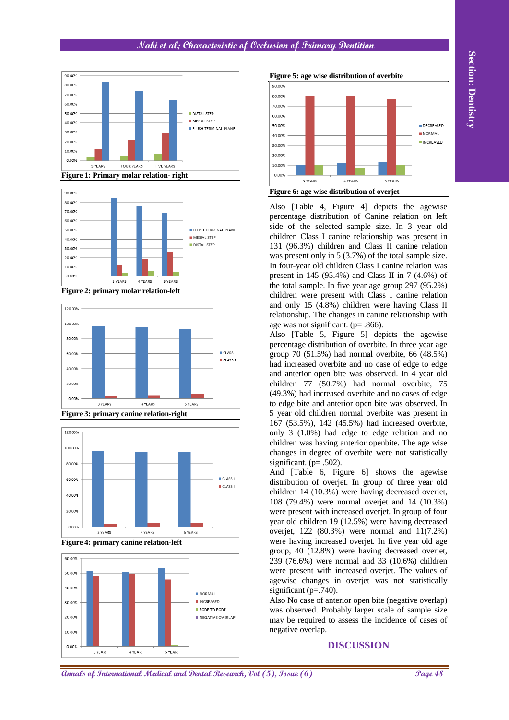

**Figure 1: Primary molar relation- right**



**Figure 2: primary molar relation-left**



**Figure 3: primary canine relation-right**





**Figure 5: age wise distribution of overbite**

**Figure 6: age wise distribution of overjet**

Also [Table 4, Figure 4] depicts the agewise percentage distribution of Canine relation on left side of the selected sample size. In 3 year old children Class I canine relationship was present in 131 (96.3%) children and Class II canine relation was present only in 5 (3.7%) of the total sample size. In four-year old children Class I canine relation was present in 145 (95.4%) and Class II in 7 (4.6%) of the total sample. In five year age group 297 (95.2%) children were present with Class I canine relation and only 15 (4.8%) children were having Class II relationship. The changes in canine relationship with age was not significant. (p= .866).

**Annals of International Medical and Dental Annals of International Medical Annals of International Medical Annals of International Medical Annals of International Medical Annals of International Medical Annals of Interna** Also [Table 5, Figure 5] depicts the agewise percentage distribution of overbite. In three year age group 70 (51.5%) had normal overbite, 66 (48.5%) had increased overbite and no case of edge to edge and anterior open bite was observed. In 4 year old children 77 (50.7%) had normal overbite, 75 (49.3%) had increased overbite and no cases of edge to edge bite and anterior open bite was observed. In 5 year old children normal overbite was present in 167 (53.5%), 142 (45.5%) had increased overbite, only 3 (1.0%) had edge to edge relation and no children was having anterior openbite. The age wise changes in degree of overbite were not statistically significant. (p= .502).

And [Table 6, Figure 6] shows the agewise distribution of overjet. In group of three year old children 14 (10.3%) were having decreased overjet, 108 (79.4%) were normal overjet and 14 (10.3%) were present with increased overjet. In group of four year old children 19 (12.5%) were having decreased overjet, 122 (80.3%) were normal and 11(7.2%) were having increased overjet. In five year old age group, 40 (12.8%) were having decreased overjet, 239 (76.6%) were normal and 33 (10.6%) children were present with increased overjet. The values of agewise changes in overjet was not statistically significant ( $p = .740$ ).

Also No case of anterior open bite (negative overlap) was observed. Probably larger scale of sample size may be required to assess the incidence of cases of negative overlap.

#### **DISCUSSION**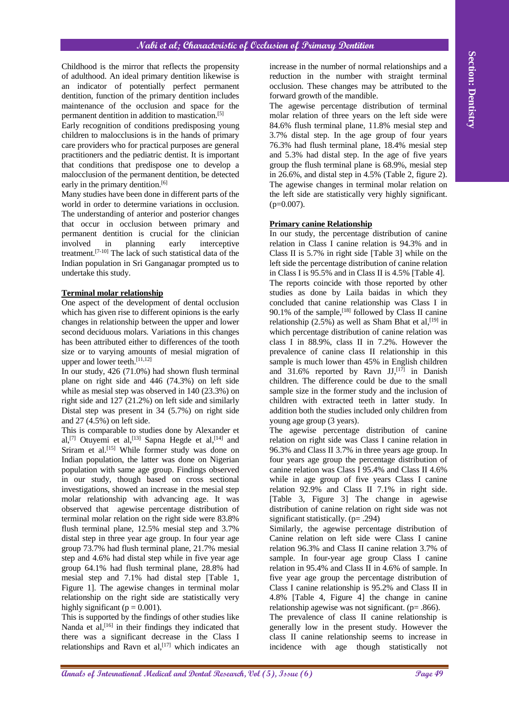Childhood is the mirror that reflects the propensity of adulthood. An ideal primary dentition likewise is an indicator of potentially perfect permanent dentition, function of the primary dentition includes maintenance of the occlusion and space for the permanent dentition in addition to mastication.[5]

Early recognition of conditions predisposing young children to malocclusions is in the hands of primary care providers who for practical purposes are general practitioners and the pediatric dentist. It is important that conditions that predispose one to develop a malocclusion of the permanent dentition, be detected early in the primary dentition.<sup>[6]</sup>

Many studies have been done in different parts of the world in order to determine variations in occlusion. The understanding of anterior and posterior changes that occur in occlusion between primary and permanent dentition is crucial for the clinician involved in planning early interceptive treatment.[7-10] The lack of such statistical data of the Indian population in Sri Ganganagar prompted us to undertake this study.

#### **Terminal molar relationship**

One aspect of the development of dental occlusion which has given rise to different opinions is the early changes in relationship between the upper and lower second deciduous molars. Variations in this changes has been attributed either to differences of the tooth size or to varying amounts of mesial migration of upper and lower teeth.<sup>[11,12]</sup>

In our study, 426 (71.0%) had shown flush terminal plane on right side and 446 (74.3%) on left side while as mesial step was observed in 140 (23.3%) on right side and 127 (21.2%) on left side and similarly Distal step was present in 34 (5.7%) on right side and 27 (4.5%) on left side.

This is comparable to studies done by Alexander et al,<sup>[7]</sup> Otuyemi et al,<sup>[13]</sup> Sapna Hegde et al,<sup>[14]</sup> and Sriram et al.<sup>[15]</sup> While former study was done on Indian population, the latter was done on Nigerian population with same age group. Findings observed in our study, though based on cross sectional investigations, showed an increase in the mesial step molar relationship with advancing age. It was observed that agewise percentage distribution of terminal molar relation on the right side were 83.8% flush terminal plane, 12.5% mesial step and 3.7% distal step in three year age group. In four year age group 73.7% had flush terminal plane, 21.7% mesial step and 4.6% had distal step while in five year age group 64.1% had flush terminal plane, 28.8% had mesial step and 7.1% had distal step [Table 1, Figure 1]. The agewise changes in terminal molar relationship on the right side are statistically very highly significant ( $p = 0.001$ ).

This is supported by the findings of other studies like Nanda et al,<sup>[16]</sup> in their findings they indicated that there was a significant decrease in the Class I relationships and Ravn et al, $[17]$  which indicates an

increase in the number of normal relationships and a reduction in the number with straight terminal occlusion. These changes may be attributed to the forward growth of the mandible.

The agewise percentage distribution of terminal molar relation of three years on the left side were 84.6% flush terminal plane, 11.8% mesial step and 3.7% distal step. In the age group of four years 76.3% had flush terminal plane, 18.4% mesial step and 5.3% had distal step. In the age of five years group the flush terminal plane is 68.9%, mesial step in 26.6%, and distal step in 4.5% (Table 2, figure 2). The agewise changes in terminal molar relation on the left side are statistically very highly significant.  $(p=0.007)$ .

## **Primary canine Relationship**

**Analysis is the extent of the proposition** in the section in the section in the section in the section in the section in the section is the section of the section in the section in the section in the section in the secti In our study, the percentage distribution of canine relation in Class I canine relation is 94.3% and in Class II is 5.7% in right side [Table 3] while on the left side the percentage distribution of canine relation in Class I is 95.5% and in Class II is 4.5% [Table 4]. The reports coincide with those reported by other studies as done by Laila baidas in which they concluded that canine relationship was Class I in 90.1% of the sample,  $^{[18]}$  followed by Class II canine relationship  $(2.5\%)$  as well as Sham Bhat et al,<sup>[19]</sup> in which percentage distribution of canine relation was class I in 88.9%, class II in 7.2%. However the prevalence of canine class II relationship in this sample is much lower than 45% in English children and 31.6% reported by Ravn JJ,<sup>[17]</sup> in Danish children. The difference could be due to the small sample size in the former study and the inclusion of children with extracted teeth in latter study. In addition both the studies included only children from young age group (3 years).

The agewise percentage distribution of canine relation on right side was Class I canine relation in 96.3% and Class II 3.7% in three years age group. In four years age group the percentage distribution of canine relation was Class I 95.4% and Class II 4.6% while in age group of five years Class I canine relation 92.9% and Class II 7.1% in right side. [Table 3, Figure 3] The change in agewise distribution of canine relation on right side was not significant statistically. (p= .294)

Similarly, the agewise percentage distribution of Canine relation on left side were Class I canine relation 96.3% and Class II canine relation 3.7% of sample. In four-year age group Class I canine relation in 95.4% and Class II in 4.6% of sample. In five year age group the percentage distribution of Class I canine relationship is 95.2% and Class II in 4.8% [Table 4, Figure 4] the change in canine relationship agewise was not significant. (p= .866).

The prevalence of class II canine relationship is generally low in the present study. However the class II canine relationship seems to increase in incidence with age though statistically not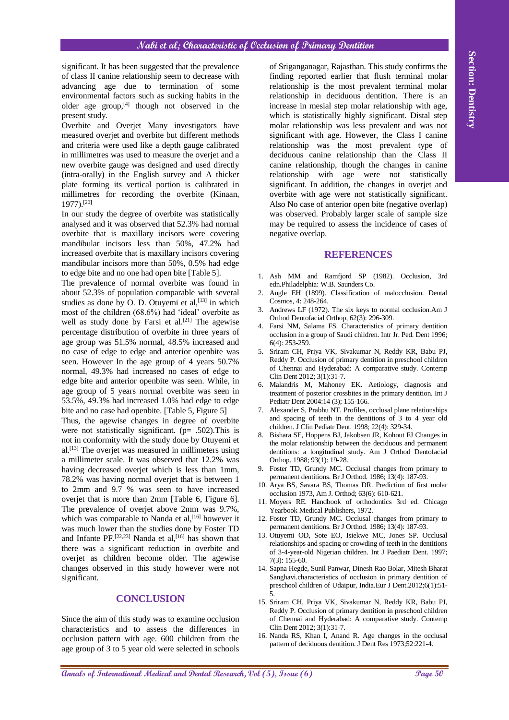significant. It has been suggested that the prevalence of class II canine relationship seem to decrease with advancing age due to termination of some environmental factors such as sucking habits in the older age group, $[4]$  though not observed in the present study.

Overbite and Overjet Many investigators have measured overjet and overbite but different methods and criteria were used like a depth gauge calibrated in millimetres was used to measure the overjet and a new overbite gauge was designed and used directly (intra-orally) in the English survey and A thicker plate forming its vertical portion is calibrated in millimetres for recording the overbite (Kinaan, 1977).[20]

In our study the degree of overbite was statistically analysed and it was observed that 52.3% had normal overbite that is maxillary incisors were covering mandibular incisors less than 50%, 47.2% had increased overbite that is maxillary incisors covering mandibular incisors more than 50%, 0.5% had edge to edge bite and no one had open bite [Table 5].

The prevalence of normal overbite was found in about 52.3% of population comparable with several studies as done by O. D. Otuvemi et al.  $[13]$  in which most of the children (68.6%) had 'ideal' overbite as well as study done by Farsi et al.<sup>[21]</sup> The agewise percentage distribution of overbite in three years of age group was 51.5% normal, 48.5% increased and no case of edge to edge and anterior openbite was seen. However In the age group of 4 years 50.7% normal, 49.3% had increased no cases of edge to edge bite and anterior openbite was seen. While, in age group of 5 years normal overbite was seen in 53.5%, 49.3% had increased 1.0% had edge to edge bite and no case had openbite. [Table 5, Figure 5]

Thus, the agewise changes in degree of overbite were not statistically significant. ( $p= .502$ ). This is not in conformity with the study done by Otuyemi et al. [13] The overjet was measured in millimeters using a millimeter scale. It was observed that 12.2% was having decreased overjet which is less than 1mm, 78.2% was having normal overjet that is between 1 to 2mm and 9.7 % was seen to have increased overjet that is more than 2mm [Table 6, Figure 6]. The prevalence of overjet above 2mm was 9.7%, which was comparable to Nanda et al,<sup>[16]</sup> however it was much lower than the studies done by Foster TD and Infante PF. [22,23] Nanda et al, [16] has shown that there was a significant reduction in overbite and overjet as children become older. The agewise changes observed in this study however were not significant.

#### **CONCLUSION**

Since the aim of this study was to examine occlusion characteristics and to assess the differences in occlusion pattern with age. 600 children from the age group of 3 to 5 year old were selected in schools

Annihing higher the box account of the threshot is a section of the three of International Medical Annals is a section of the three of Dental Annal Medical and the section of the three of Dental Annal Medical and the sect of Sriganganagar, Rajasthan. This study confirms the finding reported earlier that flush terminal molar relationship is the most prevalent terminal molar relationship in deciduous dentition. There is an increase in mesial step molar relationship with age, which is statistically highly significant. Distal step molar relationship was less prevalent and was not significant with age. However, the Class I canine relationship was the most prevalent type of deciduous canine relationship than the Class II canine relationship, though the changes in canine relationship with age were not statistically significant. In addition, the changes in overjet and overbite with age were not statistically significant. Also No case of anterior open bite (negative overlap) was observed. Probably larger scale of sample size may be required to assess the incidence of cases of negative overlap.

#### **REFERENCES**

- 1. Ash MM and Ramfjord SP (1982). Occlusion, 3rd edn.Philadelphia: W.B. Saunders Co.
- 2. Angle EH (1899). Classification of malocclusion. Dental Cosmos, 4: 248-264.
- 3. Andrews LF (1972). The six keys to normal occlusion.Am J Orthod Dentofacial Orthop, 62(3): 296-309.
- 4. Farsi NM, Salama FS. Characteristics of primary dentition occlusion in a group of Saudi children. Intr Jr. Ped. Dent 1996; 6(4): 253-259.
- 5. Sriram CH, Priya VK, Sivakumar N, Reddy KR, Babu PJ, Reddy P. Occlusion of primary dentition in preschool children of Chennai and Hyderabad: A comparative study. Contemp Clin Dent 2012; 3(1):31-7.
- 6. Malandris M, Mahoney EK. Aetiology, diagnosis and treatment of posterior crossbites in the primary dentition. Int J Pediatr Dent 2004:14 (3); 155-166.
- 7. Alexander S, Prabhu NT. Profiles, occlusal plane relationships and spacing of teeth in the dentitions of 3 to 4 year old children. J Clin Pediatr Dent. 1998; 22(4): 329-34.
- 8. Bishara SE, Hoppens BJ, Jakobsen JR, Kohout FJ Changes in the molar relationship between the deciduous and permanent dentitions: a longitudinal study. Am J Orthod Dentofacial Orthop. 1988; 93(1): 19-28.
- 9. Foster TD, Grundy MC. Occlusal changes from primary to permanent dentitions. Br J Orthod. 1986; 13(4): 187-93.
- 10. Arya BS, Savara BS, Thomas DR. Prediction of first molar occlusion 1973, Am J. Orthod; 63(6): 610-621.
- 11. Moyers RE. Handbook of orthodontics 3rd ed. Chicago Yearbook Medical Publishers, 1972.
- 12. Foster TD, Grundy MC. Occlusal changes from primary to permanent dentitions. Br J Orthod. 1986; 13(4): 187-93.
- 13. Otuyemi OD, Sote EO, Isiekwe MC, Jones SP. Occlusal relationships and spacing or crowding of teeth in the dentitions of 3-4-year-old Nigerian children. Int J Paediatr Dent. 1997; 7(3): 155-60.
- 14. Sapna Hegde, Sunil Panwar, Dinesh Rao Bolar, Mitesh Bharat Sanghavi.characteristics of occlusion in primary dentition of preschool children of Udaipur, India.Eur J Dent.2012;6(1):51- 5.
- 15. Sriram CH, Priya VK, Sivakumar N, Reddy KR, Babu PJ, Reddy P. Occlusion of primary dentition in preschool children of Chennai and Hyderabad: A comparative study. Contemp Clin Dent 2012; 3(1):31-7.
- 16. Nanda RS, Khan I, Anand R. Age changes in the occlusal pattern of deciduous dentition. J Dent Res 1973;52:221-4.